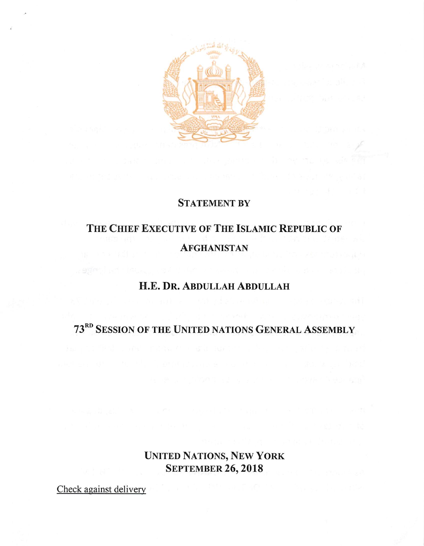

### **STATEMENT BY**

## The Chief Executive of The Islamic Republic of **AFGHANISTAN**

### H.E. Dr. Abdullah Abdullah

## 73"° Session ofthe United nations General Assembly

## United Nations, New York **SEPTEMBER 26, 2018**

Check against delivery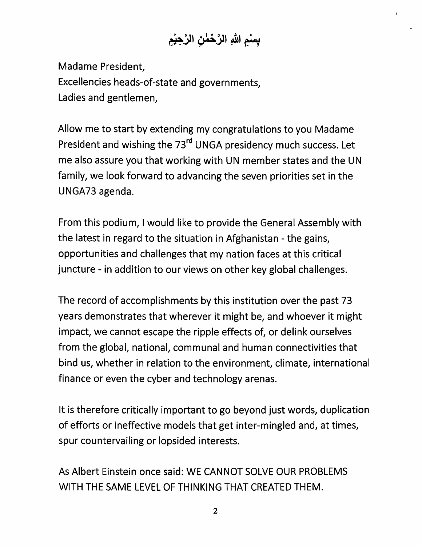# بِسْمِ اللهِ الرَّحْمٰنِ الرَّحِيْمِ

Madame President, Excellencies heads-of-state and governments, Ladies and gentlemen.

Allow me to start by extending my congratulations to you Madame President and wishing the 73<sup>rd</sup> UNGA presidency much success. Let me also assure you that working with UN member states and the UN family, we look forward to advancing the seven priorities set in the UNGA73 agenda.

From this podium, Iwould like to provide the General Assembly with the latest in regard to the situation in Afghanistan - the gains, opportunities and challenges that my nation faces at this critical juncture - in addition to our views on other key global challenges.

The record of accomplishments by this institution over the past 73 years demonstrates that wherever it might be, and whoever it might impact, we cannot escape the ripple effects of, or delink ourselves from the global, national, communal and human connectivities that bind us, whether in relation to the environment, climate, international finance or even the cyber and technology arenas.

It is therefore critically important to go beyond just words, duplication of efforts or ineffective models that get inter-mingled and, at times, spur countervailing or lopsided interests.

As Albert Einstein once said: WE CANNOT SOLVE OUR PROBLEMS WITH THE SAME LEVEL OF THINKING THAT CREATED THEM.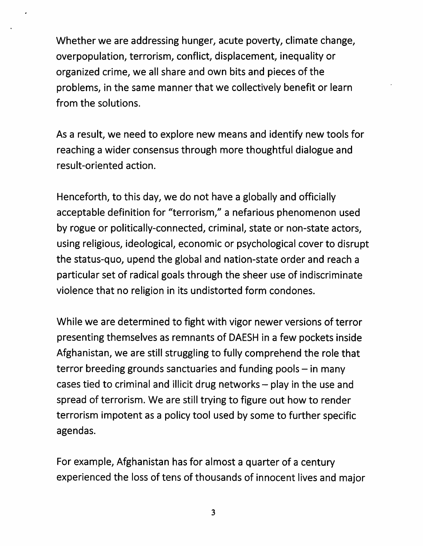Whether we are addressing hunger, acute poverty, climate change, overpopulation, terrorism, conflict, displacement, inequality or organized crime, we all share and own bits and pieces of the problems, in the same manner that we collectively benefit or learn from the solutions.

As a result, we need to explore new means and identify new tools for reaching a wider consensus through more thoughtful dialogue and result-oriented action.

Henceforth, to this day, we do not have a globally and officially acceptable definition for "terrorism," a nefarious phenomenon used by rogue or politically-connected, criminal, state or non-state actors, using religious, ideological, economic or psychological cover to disrupt the status-quo, upend the global and nation-state order and reach a particular set of radical goals through the sheer use of indiscriminate violence that no religion in its undistorted form condones.

While we are determined to fight with vigor newer versions of terror presenting themselves as remnants of DAESH in a few pockets inside Afghanistan, we are still struggling to fully comprehend the role that terror breeding grounds sanctuaries and funding pools  $-$  in many cases tied to criminal and illicit drug networks  $-$  play in the use and spread of terrorism. We are still trying to figure out how to render terrorism impotent as a policy tool used by some to further specific agendas.

For example, Afghanistan has for almost a quarter of a century experienced the loss of tens of thousands of innocent lives and major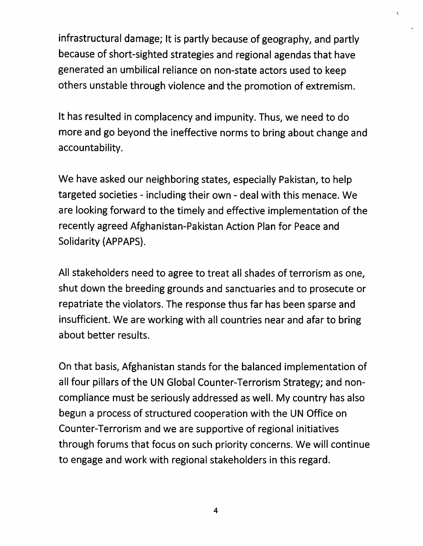infrastructural damage; It is partly because of geography, and partly because of short-sighted strategies and regional agendas that have generated an umbilical reliance on non-state actors used to keep others unstable through violence and the promotion of extremism.

÷,

It has resulted in complacency and impunity. Thus, we need to do more and go beyond the ineffective norms to bring about change and accountability.

We have asked our neighboring states, especially Pakistan, to help targeted societies - including their own - deal with this menace. We are looking forward to the timely and effective implementation of the recently agreed Afghanistan-Pakistan Action Plan for Peace and Solidarity (APPAPS).

All stakeholders need to agree to treat all shades of terrorism as one, shut down the breeding grounds and sanctuaries and to prosecute or repatriate the violators. The response thus far has been sparse and insufficient. We are working with all countries near and afar to bring about better results.

On that basis, Afghanistan stands for the balanced implementation of all four pillars of the UN Global Counter-Terrorism Strategy; and noncompliance must be seriously addressed as well. My country has also begun a process of structured cooperation with the UN Office on Counter-Terrorism and we are supportive of regional initiatives through forums that focus on such priority concerns. We will continue to engage and work with regional stakeholders in this regard.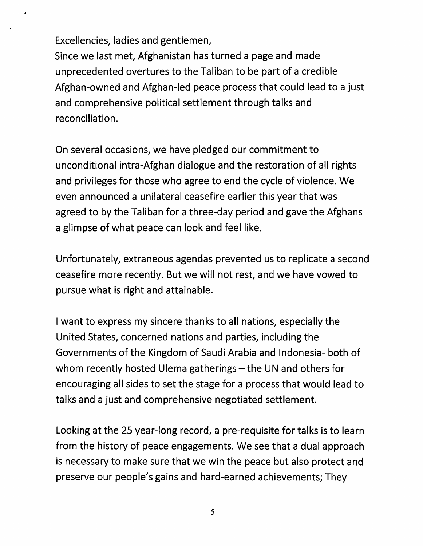Excellencies, ladies and gentlemen.

Since we last met, Afghanistan has turned a page and made unprecedented overtures to the Taliban to be part of a credible Afghan-owned and Afghan-led peace process that could lead to a just and comprehensive political settlement through talks and reconciliation.

On several occasions, we have pledged our commitment to unconditional intra-Afghan dialogue and the restoration of all rights and privileges for those who agree to end the cycle of violence. We even announced a unilateral ceasefire earlier this year that was agreed to by the Taliban for a three-day period and gave the Afghans a glimpse of what peace can look and feel like.

Unfortunately, extraneous agendas prevented us to replicate a second ceasefire more recently. But we will not rest, and we have vowed to pursue what is right and attainable.

Iwant to express my sincere thanks to all nations, especially the United States, concerned nations and parties, including the Governments of the Kingdom of Saudi Arabia and Indonesia- both of whom recently hosted Ulema gatherings – the UN and others for encouraging all sides to set the stage for a process that would lead to talks and a Just and comprehensive negotiated settlement.

Looking at the 25 year-long record, a pre-requisite for talks is to learn from the history of peace engagements. We see that a dual approach is necessary to make sure that we win the peace but also protect and preserve our people's gains and hard-earned achievements; They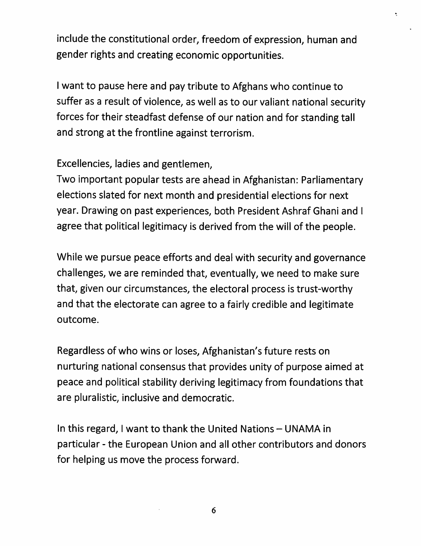include the constitutional order, freedom of expression, human and gender rights and creating economic opportunities.

Iwant to pause here and pay tribute to Afghans who continue to suffer as a result of violence, as well as to our valiant national security forces for their steadfast defense of our nation and for standing tall and strong at the frontline against terrorism.

Excellencies, ladies and gentlemen.

Two important popular tests are ahead in Afghanistan: Parliamentary elections slated for next month and presidential elections for next year. Drawing on past experiences, both President Ashraf Ghani and I agree that political legitimacy is derived from the will of the people.

While we pursue peace efforts and deal with security and governance challenges, we are reminded that, eventually, we need to make sure that, given our circumstances, the electoral process is trust-worthy and that the electorate can agree to a fairly credible and legitimate outcome.

Regardless of who wins or loses, Afghanistan's future rests on nurturing national consensus that provides unity of purpose aimed at peace and political stability deriving legitimacy from foundations that are pluralistic, inclusive and democratic.

In this regard, I want to thank the United Nations - UNAMA in particular - the European Union and all other contributors and donors for helping us move the process forward.

6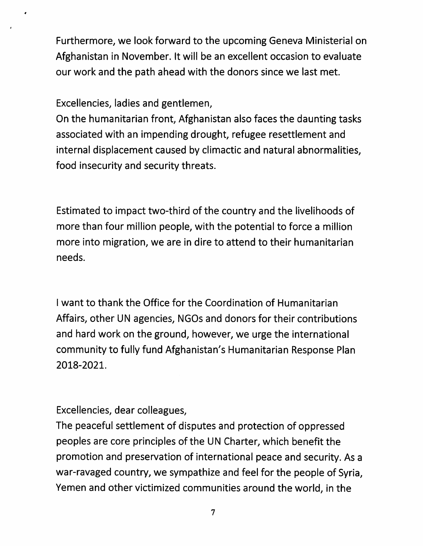Furthermore, we look forward to the upcoming Geneva Ministerial on Afghanistan in November. It will be an excellent occasion to evaluate our work and the path ahead with the donors since we last met.

Excellencies, ladies and gentlemen.

On the humanitarian front, Afghanistan also faces the daunting tasks associated with an impending drought, refugee resettlement and internal displacement caused by climactic and natural abnormalities, food insecurity and security threats.

Estimated to impact two-third of the country and the livelihoods of more than four million people, with the potential to force a million more into migration, we are in dire to attend to their humanitarian needs.

I want to thank the Office for the Coordination of Humanitarian Affairs, other UN agencies, NGOs and donors for their contributions and hard work on the ground, however, we urge the international community to fully fund Afghanistan's Humanitarian Response Plan 2018-2021.

Excellencies, dear colleagues.

The peaceful settlement of disputes and protection of oppressed peoples are core principles of the UN Charter, which benefit the promotion and preservation of international peace and security. As a war-ravaged country, we sympathize and feel for the people of Syria, Yemen and other victimized communities around the world, in the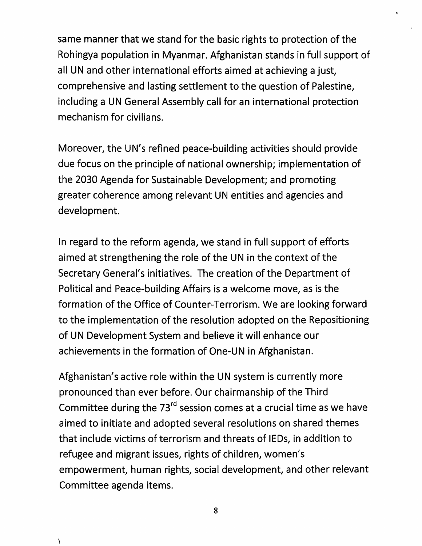same manner that we stand for the basic rights to protection of the Rohingya population in Myanmar. Afghanistan stands in full support of all UN and other international efforts aimed at achieving a just, comprehensive and lasting settlement to the question of Palestine, including a UN General Assembly call for an international protection mechanism for civilians.

 $\hat{\mathbf{z}}$ 

Moreover, the UN's refined peace-building activities should provide due focus on the principle of national ownership; implementation of the 2030 Agenda for Sustainable Development; and promoting greater coherence among relevant UN entities and agencies and development.

In regard to the reform agenda, we stand in full support of efforts aimed at strengthening the role of the UN in the context of the Secretary General's initiatives. The creation of the Department of Political and Peace-building Affairs is a welcome move, as is the formation of the Office of Counter-Terrorism. We are looking forward to the implementation of the resolution adopted on the Repositioning of UN Development System and believe it will enhance our achievements in the formation of One-UN in Afghanistan.

Afghanistan's active role within the UN system is currently more pronounced than ever before. Our chairmanship of the Third Committee during the 73 $^{rd}$  session comes at a crucial time as we have aimed to initiate and adopted several resolutions on shared themes that include victims of terrorism and threats of lEDs, in addition to refugee and migrant issues, rights of children, women's empowerment, human rights, social development, and other relevant Committee agenda items.

 $\lambda$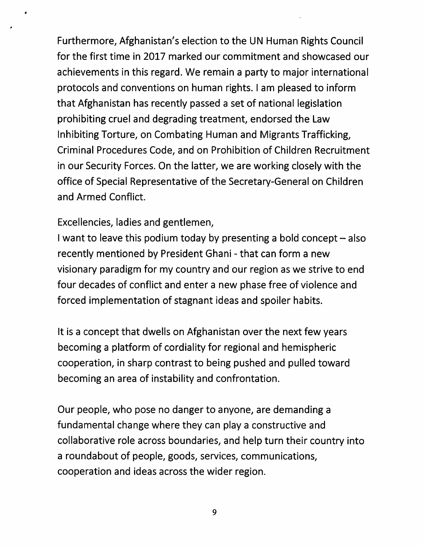Furthermore, Afghanistan's election to the UN Human Rights Council for the first time in 2017 marked our commitment and showcased our achievements in this regard. We remain a party to major international protocols and conventions on human rights. I am pleased to inform that Afghanistan has recently passed a set of national legislation prohibiting cruel and degrading treatment, endorsed the Law Inhibiting Torture, on Combating Human and Migrants Trafficking, Criminal Procedures Code, and on Prohibition of Children Recruitment in our Security Forces. On the latter, we are working closely with the office of Special Representative of the Secretary-General on Children and Armed Conflict.

### Excellencies, ladies and gentlemen,

I want to leave this podium today by presenting a bold concept  $-$  also recently mentioned by President Ghani - that can form a new visionary paradigm for my country and our region as we strive to end four decades of conflict and enter a new phase free of violence and forced implementation of stagnant ideas and spoiler habits.

It is a concept that dwells on Afghanistan over the next few years becoming a platform of cordiality for regional and hemispheric cooperation, in sharp contrast to being pushed and pulled toward becoming an area of instability and confrontation.

Our people, who pose no danger to anyone, are demanding a fundamental change where they can play a constructive and collaborative role across boundaries, and help turn their country into a roundabout of people, goods, services, communications, cooperation and ideas across the wider region.